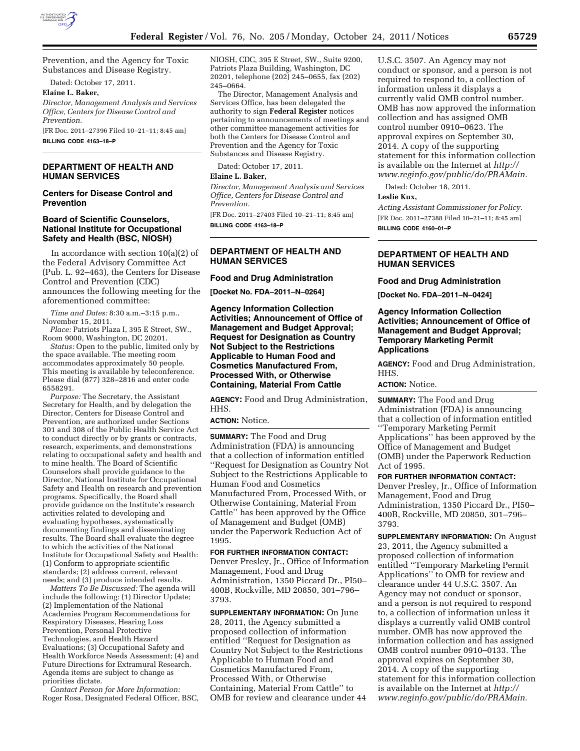

Prevention, and the Agency for Toxic Substances and Disease Registry.

Dated: October 17, 2011.

**Elaine L. Baker,** 

*Director, Management Analysis and Services Office, Centers for Disease Control and Prevention.* 

[FR Doc. 2011–27396 Filed 10–21–11; 8:45 am] **BILLING CODE 4163–18–P** 

#### **DEPARTMENT OF HEALTH AND HUMAN SERVICES**

#### **Centers for Disease Control and Prevention**

#### **Board of Scientific Counselors, National Institute for Occupational Safety and Health (BSC, NIOSH)**

In accordance with section 10(a)(2) of the Federal Advisory Committee Act (Pub. L. 92–463), the Centers for Disease Control and Prevention (CDC) announces the following meeting for the aforementioned committee:

*Time and Dates:* 8:30 a.m.–3:15 p.m., November 15, 2011.

*Place:* Patriots Plaza I, 395 E Street, SW., Room 9000, Washington, DC 20201.

*Status:* Open to the public, limited only by the space available. The meeting room accommodates approximately 50 people. This meeting is available by teleconference. Please dial (877) 328–2816 and enter code 6558291.

*Purpose:* The Secretary, the Assistant Secretary for Health, and by delegation the Director, Centers for Disease Control and Prevention, are authorized under Sections 301 and 308 of the Public Health Service Act to conduct directly or by grants or contracts, research, experiments, and demonstrations relating to occupational safety and health and to mine health. The Board of Scientific Counselors shall provide guidance to the Director, National Institute for Occupational Safety and Health on research and prevention programs. Specifically, the Board shall provide guidance on the Institute's research activities related to developing and evaluating hypotheses, systematically documenting findings and disseminating results. The Board shall evaluate the degree to which the activities of the National Institute for Occupational Safety and Health: (1) Conform to appropriate scientific standards; (2) address current, relevant needs; and (3) produce intended results.

*Matters To Be Discussed:* The agenda will include the following: (1) Director Update; (2) Implementation of the National Academies Program Recommendations for Respiratory Diseases, Hearing Loss Prevention, Personal Protective Technologies, and Health Hazard Evaluations; (3) Occupational Safety and Health Workforce Needs Assessment; (4) and Future Directions for Extramural Research. Agenda items are subject to change as priorities dictate.

*Contact Person for More Information:*  Roger Rosa, Designated Federal Officer, BSC, NIOSH, CDC, 395 E Street, SW., Suite 9200, Patriots Plaza Building, Washington, DC 20201, telephone (202) 245–0655, fax (202) 245–0664.

The Director, Management Analysis and Services Office, has been delegated the authority to sign **Federal Register** notices pertaining to announcements of meetings and other committee management activities for both the Centers for Disease Control and Prevention and the Agency for Toxic Substances and Disease Registry.

Dated: October 17, 2011.

#### **Elaine L. Baker,**

*Director, Management Analysis and Services Office, Centers for Disease Control and Prevention.* 

[FR Doc. 2011–27403 Filed 10–21–11; 8:45 am] **BILLING CODE 4163–18–P** 

#### **DEPARTMENT OF HEALTH AND HUMAN SERVICES**

# **Food and Drug Administration**

**[Docket No. FDA–2011–N–0264]** 

**Agency Information Collection Activities; Announcement of Office of Management and Budget Approval; Request for Designation as Country Not Subject to the Restrictions Applicable to Human Food and Cosmetics Manufactured From, Processed With, or Otherwise Containing, Material From Cattle** 

**AGENCY:** Food and Drug Administration, HHS.

# **ACTION:** Notice.

**SUMMARY:** The Food and Drug Administration (FDA) is announcing that a collection of information entitled ''Request for Designation as Country Not Subject to the Restrictions Applicable to Human Food and Cosmetics Manufactured From, Processed With, or Otherwise Containing, Material From Cattle'' has been approved by the Office of Management and Budget (OMB) under the Paperwork Reduction Act of 1995.

# **FOR FURTHER INFORMATION CONTACT:**

Denver Presley, Jr., Office of Information Management, Food and Drug Administration, 1350 Piccard Dr., PI50– 400B, Rockville, MD 20850, 301–796– 3793.

**SUPPLEMENTARY INFORMATION:** On June 28, 2011, the Agency submitted a proposed collection of information entitled ''Request for Designation as Country Not Subject to the Restrictions Applicable to Human Food and Cosmetics Manufactured From, Processed With, or Otherwise Containing, Material From Cattle'' to OMB for review and clearance under 44

U.S.C. 3507. An Agency may not conduct or sponsor, and a person is not required to respond to, a collection of information unless it displays a currently valid OMB control number. OMB has now approved the information collection and has assigned OMB control number 0910–0623. The approval expires on September 30, 2014. A copy of the supporting statement for this information collection is available on the Internet at *[http://](http://www.reginfo.gov/public/do/PRAMain)  [www.reginfo.gov/public/do/PRAMain.](http://www.reginfo.gov/public/do/PRAMain)* 

Dated: October 18, 2011.

#### **Leslie Kux,**

*Acting Assistant Commissioner for Policy.*  [FR Doc. 2011–27388 Filed 10–21–11; 8:45 am] **BILLING CODE 4160–01–P** 

#### **DEPARTMENT OF HEALTH AND HUMAN SERVICES**

#### **Food and Drug Administration**

**[Docket No. FDA–2011–N–0424]** 

#### **Agency Information Collection Activities; Announcement of Office of Management and Budget Approval; Temporary Marketing Permit Applications**

**AGENCY:** Food and Drug Administration, HHS.

# **ACTION:** Notice.

**SUMMARY:** The Food and Drug Administration (FDA) is announcing that a collection of information entitled ''Temporary Marketing Permit Applications'' has been approved by the Office of Management and Budget (OMB) under the Paperwork Reduction Act of 1995.

#### **FOR FURTHER INFORMATION CONTACT:**

Denver Presley, Jr., Office of Information Management, Food and Drug Administration, 1350 Piccard Dr., PI50– 400B, Rockville, MD 20850, 301–796– 3793.

**SUPPLEMENTARY INFORMATION:** On August 23, 2011, the Agency submitted a proposed collection of information entitled ''Temporary Marketing Permit Applications'' to OMB for review and clearance under 44 U.S.C. 3507. An Agency may not conduct or sponsor, and a person is not required to respond to, a collection of information unless it displays a currently valid OMB control number. OMB has now approved the information collection and has assigned OMB control number 0910–0133. The approval expires on September 30, 2014. A copy of the supporting statement for this information collection is available on the Internet at *[http://](http://www.reginfo.gov/public/do/PRAMain)  [www.reginfo.gov/public/do/PRAMain.](http://www.reginfo.gov/public/do/PRAMain)*